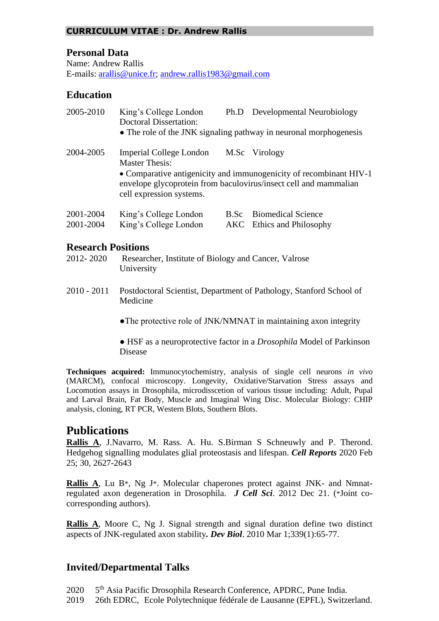### **CURRICULUM VITAE : Dr. Andrew Rallis**

### **Personal Data**

Name: Andrew Rallis E-mails: [arallis@unice.fr;](mailto:arallis@unice.fr) [andrew.rallis1983@gmail.com](mailto:andrew.rallis1983@gmail.com)

### **Education**

| 2005-2010 | King's College London<br><b>Doctoral Dissertation:</b>                                                                                                             |  | Ph.D Developmental Neurobiology |
|-----------|--------------------------------------------------------------------------------------------------------------------------------------------------------------------|--|---------------------------------|
|           | • The role of the JNK signaling pathway in neuronal morphogenesis                                                                                                  |  |                                 |
| 2004-2005 | Imperial College London<br><b>Master Thesis:</b>                                                                                                                   |  | M.Sc Virology                   |
|           | • Comparative antigenicity and immunogenicity of recombinant HIV-1<br>envelope glycoprotein from baculovirus/insect cell and mammalian<br>cell expression systems. |  |                                 |
| 2001-2004 | King's College London                                                                                                                                              |  | <b>B.Sc</b> Biomedical Science  |
| 2001-2004 | King's College London                                                                                                                                              |  | AKC Ethics and Philosophy       |

#### **Research Positions**

- 2012- 2020 Researcher, Institute of Biology and Cancer, Valrose University
- 2010 2011 Postdoctoral Scientist, Department of Pathology, Stanford School of Medicine

• The protective role of JNK/NMNAT in maintaining axon integrity

● HSF as a neuroprotective factor in a *Drosophila* Model of Parkinson Disease

**Techniques acquired:** Immunocytochemistry, analysis of single cell neurons *in vivo*  (MARCM), confocal microscopy. Longevity, Oxidative/Starvation Stress assays and Locomotion assays in Drosophila, microdisscetion of various tissue including: Adult, Pupal and Larval Brain, Fat Body, Muscle and Imaginal Wing Disc. Molecular Biology: CHIP analysis, cloning, RT PCR, Western Blots, Southern Blots.

# **Publications**

**Rallis A**, J.Navarro, M. Rass. A. Hu. S.Birman S Schneuwly and P. Therond. Hedgehog signalling modulates glial proteostasis and lifespan. *Cell Reports* 2020 Feb 25; 30, 2627-2643

**Rallis A**, Lu B\*, Ng J\*. Molecular chaperones protect against JNK- and Nmnatregulated axon degeneration in Drosophila. *J Cell Sci*. 2012 Dec 21. (\*Joint cocorresponding authors).

**Rallis A**, Moore C, Ng J. Signal strength and signal duration define two distinct aspects of JNK-regulated axon stability*. Dev Biol*. 2010 Mar 1;339(1):65-77.

# **Invited/Departmental Talks**

2020 5<sup>th</sup> Asia Pacific Drosophila Research Conference, APDRC, Pune India.

2019 26th EDRC, Ecole Polytechnique fédérale de Lausanne (EPFL), Switzerland.